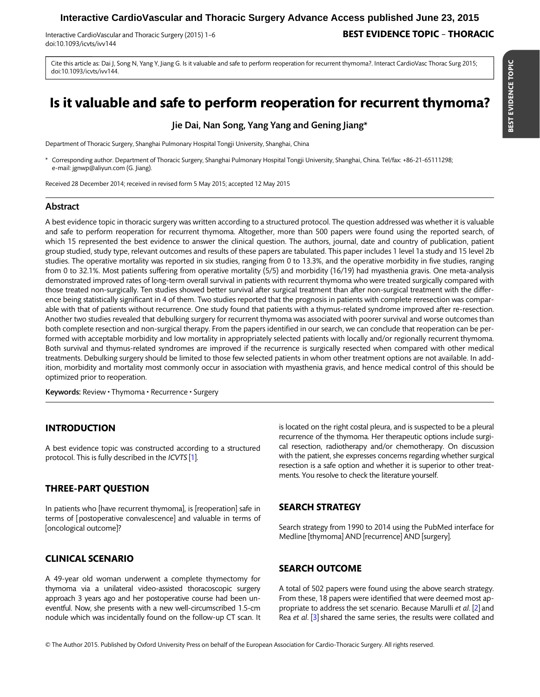# **Interactive CardioVascular and Thoracic Surgery Advance Access published June 23, 2015**

doi:10.1093/icvts/ivv144

## Interactive CardioVascular and Thoracic Surgery (2015) 1–6 **BEST EVIDENCE TOPIC – THORACIC**

Cite this article as: Dai J, Song N, Yang Y, Jiang G. Is it valuable and safe to perform reoperation for recurrent thymoma?. Interact CardioVasc Thorac Surg 2015; doi:10.1093/icvts/ivv144.

# Is it valuable and safe to perform reoperation for recurrent thymoma?

Jie Dai, Nan Song, Yang Yang and Gening Jiang\*

Department of Thoracic Surgery, Shanghai Pulmonary Hospital Tongji University, Shanghai, China

\* Corresponding author. Department of Thoracic Surgery, Shanghai Pulmonary Hospital Tongji University, Shanghai, China. Tel/fax: +86-21-65111298; e-mail: jgnwp@aliyun.com (G. Jiang).

Received 28 December 2014; received in revised form 5 May 2015; accepted 12 May 2015

#### Abstract

A best evidence topic in thoracic surgery was written according to a structured protocol. The question addressed was whether it is valuable and safe to perform reoperation for recurrent thymoma. Altogether, more than 500 papers were found using the reported search, of which 15 represented the best evidence to answer the clinical question. The authors, journal, date and country of publication, patient group studied, study type, relevant outcomes and results of these papers are tabulated. This paper includes 1 level 1a study and 15 level 2b studies. The operative mortality was reported in six studies, ranging from 0 to 13.3%, and the operative morbidity in five studies, ranging from 0 to 32.1%. Most patients suffering from operative mortality (5/5) and morbidity (16/19) had myasthenia gravis. One meta-analysis demonstrated improved rates of long-term overall survival in patients with recurrent thymoma who were treated surgically compared with those treated non-surgically. Ten studies showed better survival after surgical treatment than after non-surgical treatment with the difference being statistically significant in 4 of them. Two studies reported that the prognosis in patients with complete reresection was comparable with that of patients without recurrence. One study found that patients with a thymus-related syndrome improved after re-resection. Another two studies revealed that debulking surgery for recurrent thymoma was associated with poorer survival and worse outcomes than both complete resection and non-surgical therapy. From the papers identified in our search, we can conclude that reoperation can be performed with acceptable morbidity and low mortality in appropriately selected patients with locally and/or regionally recurrent thymoma. Both survival and thymus-related syndromes are improved if the recurrence is surgically resected when compared with other medical treatments. Debulking surgery should be limited to those few selected patients in whom other treatment options are not available. In addition, morbidity and mortality most commonly occur in association with myasthenia gravis, and hence medical control of this should be optimized prior to reoperation.

Keywords: Review • Thymoma • Recurrence • Surgery

#### INTRODUCTION

A best evidence topic was constructed according to a structured protocol. This is fully described in the ICVTS [\[1](#page-5-0)].

#### THREE-PART QUESTION

In patients who [have recurrent thymoma], is [reoperation] safe in terms of [postoperative convalescence] and valuable in terms of [oncological outcome]?

CLINICAL SCENARIO

A 49-year old woman underwent a complete thymectomy for thymoma via a unilateral video-assisted thoracoscopic surgery approach 3 years ago and her postoperative course had been uneventful. Now, she presents with a new well-circumscribed 1.5-cm nodule which was incidentally found on the follow-up CT scan. It is located on the right costal pleura, and is suspected to be a pleural recurrence of the thymoma. Her therapeutic options include surgical resection, radiotherapy and/or chemotherapy. On discussion with the patient, she expresses concerns regarding whether surgical resection is a safe option and whether it is superior to other treatments. You resolve to check the literature yourself.

## SEARCH STRATEGY

Search strategy from 1990 to 2014 using the PubMed interface for Medline [thymoma] AND [recurrence] AND [surgery].

#### SEARCH OUTCOME

A total of 502 papers were found using the above search strategy. From these, 18 papers were identified that were deemed most appropriate to address the set scenario. Because Marulli et al. [\[2\]](#page-5-0) and Rea et al. [[3\]](#page-5-0) shared the same series, the results were collated and

© The Author 2015. Published by Oxford University Press on behalf of the European Association for Cardio-Thoracic Surgery. All rights reserved.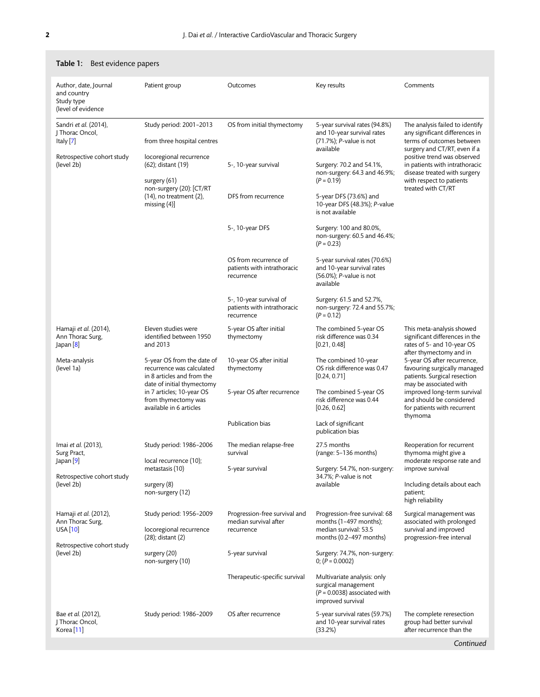| Author, date, Journal<br>and country<br>Study type<br>(level of evidence                         | Patient group                                                                                                                                                                                      | Outcomes                                                             | Key results                                                                                               | Comments                                                                                                                                                                                                                                                                                                                                           |
|--------------------------------------------------------------------------------------------------|----------------------------------------------------------------------------------------------------------------------------------------------------------------------------------------------------|----------------------------------------------------------------------|-----------------------------------------------------------------------------------------------------------|----------------------------------------------------------------------------------------------------------------------------------------------------------------------------------------------------------------------------------------------------------------------------------------------------------------------------------------------------|
| Sandri et al. (2014),<br>J Thorac Oncol,<br>Italy [7]                                            | Study period: 2001-2013<br>from three hospital centres                                                                                                                                             | OS from initial thymectomy                                           | 5-year survival rates (94.8%)<br>and 10-year survival rates<br>(71.7%); P-value is not<br>available       | The analysis failed to identify<br>any significant differences in<br>terms of outcomes between<br>surgery and CT/RT, even if a<br>positive trend was observed<br>in patients with intrathoracic<br>disease treated with surgery<br>with respect to patients<br>treated with CT/RT                                                                  |
| Retrospective cohort study<br>(level 2b)                                                         | locoregional recurrence<br>(62); distant (19)<br>surgery (61)<br>non-surgery (20): [CT/RT<br>$(14)$ , no treatment $(2)$ ,<br>missing $(4)$ ]                                                      | 5-, 10-year survival                                                 | Surgery: 70.2 and 54.1%,<br>non-surgery: 64.3 and 46.9%;<br>$(P = 0.19)$                                  |                                                                                                                                                                                                                                                                                                                                                    |
|                                                                                                  |                                                                                                                                                                                                    | DFS from recurrence                                                  | 5-year DFS (73.6%) and<br>10-year DFS (48.3%); P-value<br>is not available                                |                                                                                                                                                                                                                                                                                                                                                    |
|                                                                                                  |                                                                                                                                                                                                    | 5-, 10-year DFS                                                      | Surgery: 100 and 80.0%,<br>non-surgery: 60.5 and 46.4%;<br>$(P = 0.23)$                                   |                                                                                                                                                                                                                                                                                                                                                    |
|                                                                                                  |                                                                                                                                                                                                    | OS from recurrence of<br>patients with intrathoracic<br>recurrence   | 5-year survival rates (70.6%)<br>and 10-year survival rates<br>(56.0%); P-value is not<br>available       |                                                                                                                                                                                                                                                                                                                                                    |
|                                                                                                  |                                                                                                                                                                                                    | 5-, 10-year survival of<br>patients with intrathoracic<br>recurrence | Surgery: 61.5 and 52.7%,<br>non-surgery: 72.4 and 55.7%;<br>$(P = 0.12)$                                  |                                                                                                                                                                                                                                                                                                                                                    |
| Hamaji et al. (2014),<br>Ann Thorac Surg,<br>Japan <sup>[8]</sup>                                | Eleven studies were<br>identified between 1950<br>and 2013                                                                                                                                         | 5-year OS after initial<br>thymectomy                                | The combined 5-year OS<br>risk difference was 0.34<br>[0.21, 0.48]                                        | This meta-analysis showed<br>significant differences in the<br>rates of 5- and 10-year OS<br>after thymectomy and in<br>5-year OS after recurrence,<br>favouring surgically managed<br>patients. Surgical resection<br>may be associated with<br>improved long-term survival<br>and should be considered<br>for patients with recurrent<br>thymoma |
| Meta-analysis<br>(level 1a)                                                                      | 5-year OS from the date of<br>recurrence was calculated<br>in 8 articles and from the<br>date of initial thymectomy<br>in 7 articles; 10-year OS<br>from thymectomy was<br>available in 6 articles | 10-year OS after initial<br>thymectomy                               | The combined 10-year<br>OS risk difference was 0.47<br>[0.24, 0.71]                                       |                                                                                                                                                                                                                                                                                                                                                    |
|                                                                                                  |                                                                                                                                                                                                    | 5-year OS after recurrence                                           | The combined 5-year OS<br>risk difference was 0.44<br>[0.26, 0.62]                                        |                                                                                                                                                                                                                                                                                                                                                    |
|                                                                                                  |                                                                                                                                                                                                    | Publication bias                                                     | Lack of significant<br>publication bias                                                                   |                                                                                                                                                                                                                                                                                                                                                    |
| Imai et al. (2013),<br>Surg Pract,<br>Japan $[9]$<br>Retrospective cohort study<br>(level 2b)    | Study period: 1986-2006<br>local recurrence (10);<br>metastasis (10)<br>surgery (8)<br>non-surgery (12)                                                                                            | The median relapse-free<br>survival                                  | 27.5 months<br>(range: 5-136 months)                                                                      | Reoperation for recurrent<br>thymoma might give a<br>moderate response rate and<br>improve survival                                                                                                                                                                                                                                                |
|                                                                                                  |                                                                                                                                                                                                    | 5-year survival                                                      | Surgery: 54.7%, non-surgery:<br>34.7%; P-value is not<br>available                                        |                                                                                                                                                                                                                                                                                                                                                    |
|                                                                                                  |                                                                                                                                                                                                    |                                                                      |                                                                                                           | Including details about each<br>patient;<br>high reliability                                                                                                                                                                                                                                                                                       |
| Hamaji et al. (2012),<br>Ann Thorac Surg,<br>USA[10]<br>Retrospective cohort study<br>(level 2b) | Study period: 1956-2009<br>locoregional recurrence<br>$(28)$ ; distant $(2)$<br>surgery (20)<br>non-surgery (10)                                                                                   | Progression-free survival and<br>median survival after<br>recurrence | Progression-free survival: 68<br>months $(1-497$ months);<br>median survival: 53.5                        | Surgical management was<br>associated with prolonged<br>survival and improved<br>progression-free interval                                                                                                                                                                                                                                         |
|                                                                                                  |                                                                                                                                                                                                    | 5-year survival                                                      | months $(0.2-497$ months)<br>Surgery: 74.7%, non-surgery:<br>0; $(P = 0.0002)$                            |                                                                                                                                                                                                                                                                                                                                                    |
|                                                                                                  |                                                                                                                                                                                                    | Therapeutic-specific survival                                        | Multivariate analysis: only<br>surgical management<br>$(P = 0.0038)$ associated with<br>improved survival |                                                                                                                                                                                                                                                                                                                                                    |
| Bae <i>et al.</i> (2012),<br>J Thorac Oncol,<br>Korea <sup>[11]</sup>                            | Study period: 1986-2009                                                                                                                                                                            | OS after recurrence                                                  | 5-year survival rates (59.7%)<br>and 10-year survival rates<br>(33.2%)                                    | The complete reresection<br>group had better survival<br>after recurrence than the                                                                                                                                                                                                                                                                 |
|                                                                                                  |                                                                                                                                                                                                    |                                                                      |                                                                                                           | Continued                                                                                                                                                                                                                                                                                                                                          |

### <span id="page-1-0"></span>Table 1: Best evidence papers

**Continued**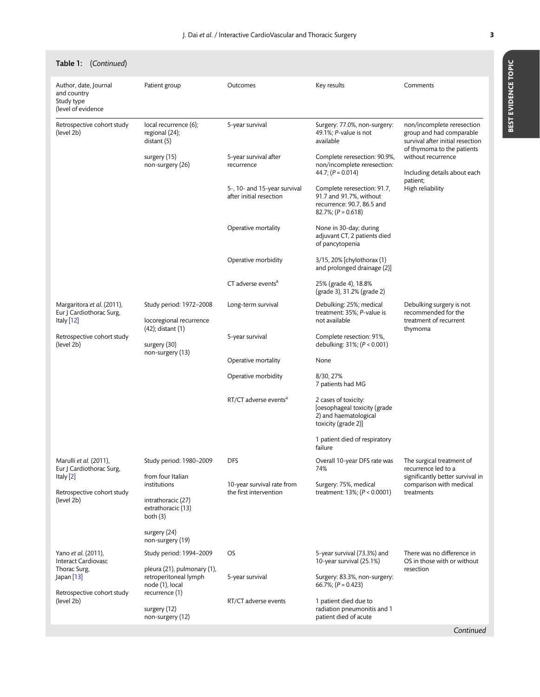Table 1: (Continued)

|  | ı. |  |
|--|----|--|

#### Author, date, Journal and country Study type (level of evidence Patient group **COULCOMES** COULCOMES **Results** Key results Comments Retrospective cohort study (level 2b) local recurrence (6); regional (24); distant (5) surgery (15) non-surgery (26) 5-year survival 5-year survival after recurrence 5-, 10- and 15-year survival after initial resection Operative mortality Operative morbidity CT adverse events<sup>a</sup> Surgery: 77.0%, non-surgery: 49.1%; P-value is not available Complete reresection: 90.9%, non/incomplete reresection: 44.7;  $(P = 0.014)$ Complete reresection: 91.7, 91.7 and 91.7%, without recurrence: 90.7, 86.5 and 82.7%;  $(P = 0.618)$ None in 30-day; during adjuvant CT, 2 patients died of pancytopenia 3/15, 20% [chylothorax (1) and prolonged drainage (2)] 25% (grade 4), 18.8% (grade 3), 31.2% (grade 2) non/incomplete reresection group and had comparable survival after initial resection of thymoma to the patients without recurrence Including details about each patient; High reliability Margaritora et al. (2011), Eur J Cardiothorac Surg, Italy [\[12\]](#page-5-0) Retrospective cohort study (level 2b) Study period: 1972–2008 locoregional recurrence (42); distant (1) surgery (30) non-surgery (13) Long-term survival 5-year survival Operative mortality Operative morbidity RT/CT adverse events<sup>a</sup> Debulking: 25%; medical treatment: 35%; P-value is not available Complete resection: 91%, debulking: 31%; (P < 0.001) None 8/30, 27% 7 patients had MG 2 cases of toxicity: [oesophageal toxicity (grade 2) and haematological toxicity (grade 2)] 1 patient died of respiratory failure Debulking surgery is not recommended for the treatment of recurrent thymoma Marulli et al. (2011), Eur J Cardiothorac Surg, Italy [\[2\]](#page-5-0) Retrospective cohort study (level 2b) Study period: 1980–2009 from four Italian institutions intrathoracic (27) extrathoracic (13) both (3) surgery (24) non-surgery (19) DFS 10-year survival rate from the first intervention Overall 10-year DFS rate was 74% Surgery: 75%, medical treatment: 13%; (P < 0.0001) The surgical treatment of recurrence led to a significantly better survival in comparison with medical treatments Yano et al. (2011), Interact Cardiovasc Thorac Surg, Japan [\[13\]](#page-5-0) Retrospective cohort study (level 2b) Study period: 1994–2009 pleura (21), pulmonary (1), retroperitoneal lymph node (1), local recurrence (1) surgery (12) non-surgery (12) OS 5-year survival RT/CT adverse events 5-year survival (73.3%) and 10-year survival (25.1%) Surgery: 83.3%, non-surgery: 66.7%;  $(P = 0.423)$ 1 patient died due to radiation pneumonitis and 1 patient died of acute There was no difference in OS in those with or without resection

Continued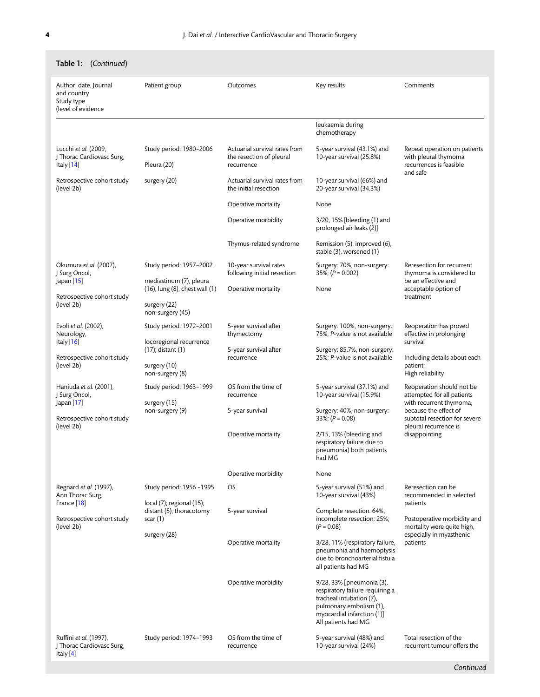| <b>lable I:</b> (Continued)                                                                           |                                                                                        |                                                                         |                                                                                                                                                                          |                                                                                                                                                                                        |
|-------------------------------------------------------------------------------------------------------|----------------------------------------------------------------------------------------|-------------------------------------------------------------------------|--------------------------------------------------------------------------------------------------------------------------------------------------------------------------|----------------------------------------------------------------------------------------------------------------------------------------------------------------------------------------|
| Author, date, Journal<br>and country<br>Study type<br>(level of evidence                              | Patient group                                                                          | Outcomes                                                                | Key results                                                                                                                                                              | Comments                                                                                                                                                                               |
|                                                                                                       |                                                                                        |                                                                         | leukaemia during<br>chemotherapy                                                                                                                                         |                                                                                                                                                                                        |
| Lucchi et al. (2009,<br>J Thorac Cardiovasc Surg,<br>Italy [14]                                       | Study period: 1980-2006<br>Pleura (20)                                                 | Actuarial survival rates from<br>the resection of pleural<br>recurrence | 5-year survival (43.1%) and<br>10-year survival (25.8%)                                                                                                                  | Repeat operation on patients<br>with pleural thymoma<br>recurrences is feasible<br>and safe                                                                                            |
| Retrospective cohort study<br>(level 2b)                                                              | surgery (20)                                                                           | Actuarial survival rates from<br>the initial resection                  | 10-year survival (66%) and<br>20-year survival (34.3%)                                                                                                                   |                                                                                                                                                                                        |
|                                                                                                       |                                                                                        | Operative mortality                                                     | None                                                                                                                                                                     |                                                                                                                                                                                        |
|                                                                                                       |                                                                                        | Operative morbidity                                                     | 3/20, 15% [bleeding (1) and<br>prolonged air leaks (2)]                                                                                                                  |                                                                                                                                                                                        |
|                                                                                                       |                                                                                        | Thymus-related syndrome                                                 | Remission (5), improved (6),<br>stable (3), worsened (1)                                                                                                                 |                                                                                                                                                                                        |
| Okumura et al. (2007),<br>J Surg Oncol,<br>Japan [15]                                                 | Study period: 1957-2002<br>mediastinum (7), pleura                                     | 10-year survival rates<br>following initial resection                   | Surgery: 70%, non-surgery:<br>$35\%;$ (P = 0.002)                                                                                                                        | Reresection for recurrent<br>thymoma is considered to<br>be an effective and                                                                                                           |
| Retrospective cohort study                                                                            | (16), lung (8), chest wall (1)                                                         | Operative mortality                                                     | None                                                                                                                                                                     | acceptable option of<br>treatment                                                                                                                                                      |
| (level 2b)                                                                                            | surgery (22)<br>non-surgery (45)                                                       |                                                                         |                                                                                                                                                                          |                                                                                                                                                                                        |
| Evoli et al. (2002),<br>Neurology,                                                                    | Study period: 1972-2001                                                                | 5-year survival after<br>thymectomy                                     | Surgery: 100%, non-surgery:<br>75%; P-value is not available                                                                                                             | Reoperation has proved<br>effective in prolonging                                                                                                                                      |
| Italy $[16]$                                                                                          | locoregional recurrence<br>(17); distant (1)                                           | 5-year survival after<br>recurrence                                     | Surgery: 85.7%, non-surgery:<br>25%; P-value is not available                                                                                                            | survival                                                                                                                                                                               |
| Retrospective cohort study<br>(level 2b)                                                              | surgery (10)<br>non-surgery (8)                                                        |                                                                         |                                                                                                                                                                          | Including details about each<br>patient;<br>High reliability                                                                                                                           |
| Haniuda et al. (2001),<br>J Surg Oncol,                                                               | Study period: 1963-1999<br>surgery (15)<br>non-surgery (9)                             | OS from the time of<br>recurrence                                       | 5-year survival (37.1%) and<br>10-year survival (15.9%)                                                                                                                  | Reoperation should not be<br>attempted for all patients<br>with recurrent thymoma,<br>because the effect of<br>subtotal resection for severe<br>pleural recurrence is<br>disappointing |
| Japan [17]<br>Retrospective cohort study<br>(level 2b)                                                |                                                                                        | 5-year survival                                                         | Surgery: 40%, non-surgery:<br>33%; $(P = 0.08)$                                                                                                                          |                                                                                                                                                                                        |
|                                                                                                       |                                                                                        | Operative mortality                                                     | $2/15$ , 13% (bleeding and<br>respiratory failure due to<br>pneumonia) both patients<br>had MG                                                                           |                                                                                                                                                                                        |
|                                                                                                       |                                                                                        | Operative morbidity                                                     | None                                                                                                                                                                     |                                                                                                                                                                                        |
| Regnard et al. (1997),<br>Ann Thorac Surg,<br>France [18]<br>Retrospective cohort study<br>(level 2b) | Study period: 1956 -1995                                                               | OS                                                                      | 5-year survival (51%) and<br>10-year survival (43%)                                                                                                                      | Reresection can be<br>recommended in selected<br>patients<br>Postoperative morbidity and<br>mortality were quite high,<br>especially in myasthenic<br>patients                         |
|                                                                                                       | $local (7)$ ; regional $(15)$ ;<br>distant (5); thoracotomy<br>scar(1)<br>surgery (28) | 5-year survival                                                         | Complete resection: 64%,<br>incomplete resection: 25%;<br>$(P = 0.08)$                                                                                                   |                                                                                                                                                                                        |
|                                                                                                       |                                                                                        | Operative mortality                                                     | 3/28, 11% (respiratory failure,<br>pneumonia and haemoptysis<br>due to bronchoarterial fistula<br>all patients had MG                                                    |                                                                                                                                                                                        |
|                                                                                                       |                                                                                        | Operative morbidity                                                     | 9/28, 33% [pneumonia (3),<br>respiratory failure requiring a<br>tracheal intubation (7),<br>pulmonary embolism (1),<br>myocardial infarction (1)]<br>All patients had MG |                                                                                                                                                                                        |
| Ruffini et al. (1997),<br>J Thorac Cardiovasc Surg,<br>Italy [4]                                      | Study period: 1974-1993                                                                | OS from the time of<br>recurrence                                       | 5-year survival (48%) and<br>10-year survival (24%)                                                                                                                      | Total resection of the<br>recurrent tumour offers the                                                                                                                                  |

# Table 1: (Continued)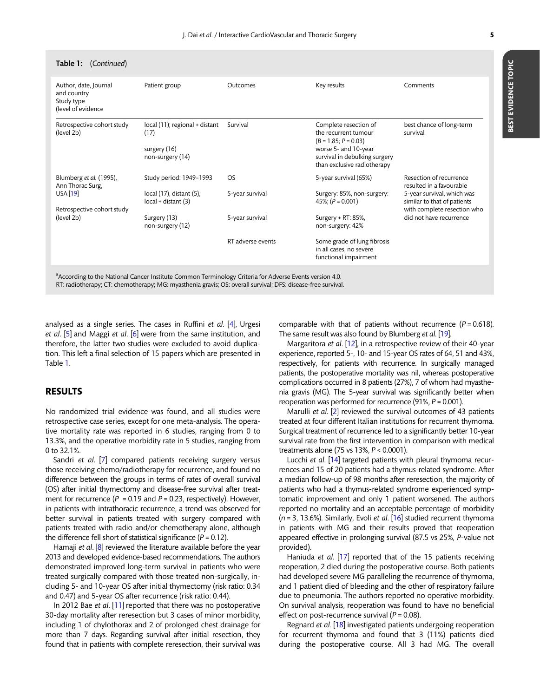| Table 1: (Continued)                                                     |                                                                            |                        |                                                                                                                                                                                               |                                                        |
|--------------------------------------------------------------------------|----------------------------------------------------------------------------|------------------------|-----------------------------------------------------------------------------------------------------------------------------------------------------------------------------------------------|--------------------------------------------------------|
| Author, date, Journal<br>and country<br>Study type<br>(level of evidence | Patient group                                                              | Outcomes               | Key results                                                                                                                                                                                   | Comments                                               |
| Retrospective cohort study<br>(level 2b)                                 | local (11); regional + distant<br>(17)<br>surgery (16)<br>non-surgery (14) | Survival               | Complete resection of<br>the recurrent tumour<br>$(B = 1.85; P = 0.03)$<br>worse 5- and 10-year<br>survival in debulking surgery<br>than exclusive radiotherapy                               | best chance of long-term<br>survival                   |
| Blumberg et al. (1995),<br>Ann Thorac Surg,<br>USA [19]                  | Study period: 1949-1993<br>local (17), distant (5),<br>local + distant (3) | OS.<br>5-year survival | 5-year survival (65%)<br>Resection of recurrence<br>resulted in a favourable<br>5-year survival, which was<br>Surgery: 85%, non-surgery:<br>similar to that of patients<br>45%; $(P = 0.001)$ |                                                        |
| Retrospective cohort study<br>(level 2b)                                 | Surgery (13)<br>non-surgery (12)                                           | 5-year survival        | Surgery + RT: 85%,<br>non-surgery: 42%                                                                                                                                                        | with complete resection who<br>did not have recurrence |
|                                                                          |                                                                            | RT adverse events      | Some grade of lung fibrosis<br>in all cases, no severe<br>functional impairment                                                                                                               |                                                        |
|                                                                          |                                                                            |                        |                                                                                                                                                                                               |                                                        |

<sup>a</sup>According to the National Cancer Institute Common Terminology Criteria for Adverse Events version 4.0. RT: radiotherapy; CT: chemotherapy; MG: myasthenia gravis; OS: overall survival; DFS: disease-free survival.

analysed as a single series. The cases in Ruffini et al.  $[4]$ , Urgesi et al. [[5](#page-5-0)] and Maggi et al. [\[6](#page-5-0)] were from the same institution, and therefore, the latter two studies were excluded to avoid duplication. This left a final selection of 15 papers which are presented in Table [1](#page-1-0).

#### RESULTS

No randomized trial evidence was found, and all studies were retrospective case series, except for one meta-analysis. The operative mortality rate was reported in 6 studies, ranging from 0 to 13.3%, and the operative morbidity rate in 5 studies, ranging from 0 to 32.1%.

Sandri et al. [[7](#page-5-0)] compared patients receiving surgery versus those receiving chemo/radiotherapy for recurrence, and found no difference between the groups in terms of rates of overall survival (OS) after initial thymectomy and disease-free survival after treatment for recurrence ( $P = 0.19$  and  $P = 0.23$ , respectively). However, in patients with intrathoracic recurrence, a trend was observed for better survival in patients treated with surgery compared with patients treated with radio and/or chemotherapy alone, although the difference fell short of statistical significance ( $P = 0.12$ ).

Hamaji et al. [[8](#page-5-0)] reviewed the literature available before the year 2013 and developed evidence-based recommendations. The authors demonstrated improved long-term survival in patients who were treated surgically compared with those treated non-surgically, including 5- and 10-year OS after initial thymectomy (risk ratio: 0.34 and 0.47) and 5-year OS after recurrence (risk ratio: 0.44).

In 2012 Bae et al. [[11\]](#page-5-0) reported that there was no postoperative 30-day mortality after reresection but 3 cases of minor morbidity, including 1 of chylothorax and 2 of prolonged chest drainage for more than 7 days. Regarding survival after initial resection, they found that in patients with complete reresection, their survival was comparable with that of patients without recurrence  $(P = 0.618)$ . The same result was also found by Blumberg et al. [\[19](#page-5-0)].

Margaritora et al. [[12\]](#page-5-0), in a retrospective review of their 40-year experience, reported 5-, 10- and 15-year OS rates of 64, 51 and 43%, respectively, for patients with recurrence. In surgically managed patients, the postoperative mortality was nil, whereas postoperative complications occurred in 8 patients (27%), 7 of whom had myasthenia gravis (MG). The 5-year survival was significantly better when reoperation was performed for recurrence (91%, P = 0.001).

Marulli et al. [[2](#page-5-0)] reviewed the survival outcomes of 43 patients treated at four different Italian institutions for recurrent thymoma. Surgical treatment of recurrence led to a significantly better 10-year survival rate from the first intervention in comparison with medical treatments alone (75 vs 13%, P < 0.0001).

Lucchi et al. [[14\]](#page-5-0) targeted patients with pleural thymoma recurrences and 15 of 20 patients had a thymus-related syndrome. After a median follow-up of 98 months after reresection, the majority of patients who had a thymus-related syndrome experienced symptomatic improvement and only 1 patient worsened. The authors reported no mortality and an acceptable percentage of morbidity  $(n = 3, 13.6\%)$ . Similarly, Evoli et al. [\[16\]](#page-5-0) studied recurrent thymoma in patients with MG and their results proved that reoperation appeared effective in prolonging survival (87.5 vs 25%, P-value not provided).

Haniuda et al. [\[17](#page-5-0)] reported that of the 15 patients receiving reoperation, 2 died during the postoperative course. Both patients had developed severe MG paralleling the recurrence of thymoma, and 1 patient died of bleeding and the other of respiratory failure due to pneumonia. The authors reported no operative morbidity. On survival analysis, reoperation was found to have no beneficial effect on post-recurrence survival ( $P = 0.08$ ).

Regnard et al. [\[18\]](#page-5-0) investigated patients undergoing reoperation for recurrent thymoma and found that 3 (11%) patients died during the postoperative course. All 3 had MG. The overall